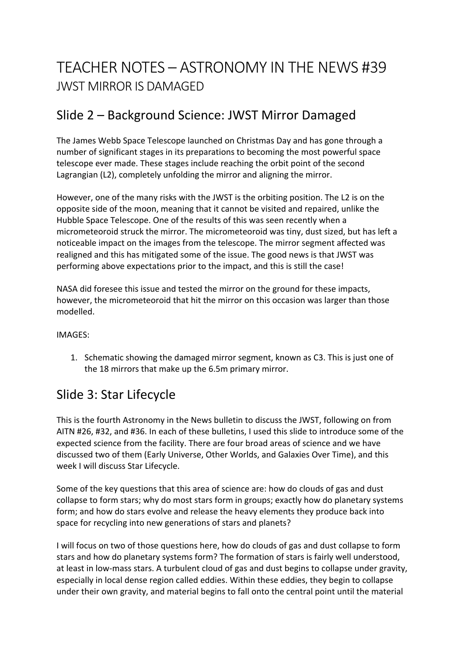# TEACHER NOTES – ASTRONOMY IN THE NEWS #39 JWST MIRROR IS DAMAGED

### Slide 2 – Background Science: JWST Mirror Damaged

The James Webb Space Telescope launched on Christmas Day and has gone through a number of significant stages in its preparations to becoming the most powerful space telescope ever made. These stages include reaching the orbit point of the second Lagrangian (L2), completely unfolding the mirror and aligning the mirror.

However, one of the many risks with the JWST is the orbiting position. The L2 is on the opposite side of the moon, meaning that it cannot be visited and repaired, unlike the Hubble Space Telescope. One of the results of this was seen recently when a micrometeoroid struck the mirror. The micrometeoroid was tiny, dust sized, but has left a noticeable impact on the images from the telescope. The mirror segment affected was realigned and this has mitigated some of the issue. The good news is that JWST was performing above expectations prior to the impact, and this is still the case!

NASA did foresee this issue and tested the mirror on the ground for these impacts, however, the micrometeoroid that hit the mirror on this occasion was larger than those modelled.

#### IMAGES:

1. Schematic showing the damaged mirror segment, known as C3. This is just one of the 18 mirrors that make up the 6.5m primary mirror.

### Slide 3: Star Lifecycle

This is the fourth Astronomy in the News bulletin to discuss the JWST, following on from AITN #26, #32, and #36. In each of these bulletins, I used this slide to introduce some of the expected science from the facility. There are four broad areas of science and we have discussed two of them (Early Universe, Other Worlds, and Galaxies Over Time), and this week I will discuss Star Lifecycle.

Some of the key questions that this area of science are: how do clouds of gas and dust collapse to form stars; why do most stars form in groups; exactly how do planetary systems form; and how do stars evolve and release the heavy elements they produce back into space for recycling into new generations of stars and planets?

I will focus on two of those questions here, how do clouds of gas and dust collapse to form stars and how do planetary systems form? The formation of stars is fairly well understood, at least in low-mass stars. A turbulent cloud of gas and dust begins to collapse under gravity, especially in local dense region called eddies. Within these eddies, they begin to collapse under their own gravity, and material begins to fall onto the central point until the material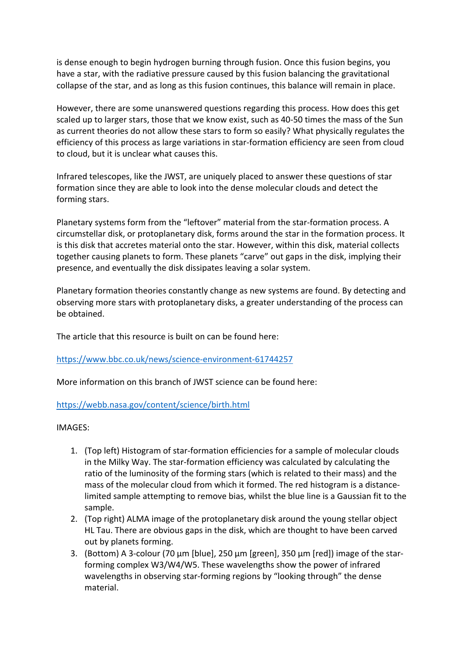is dense enough to begin hydrogen burning through fusion. Once this fusion begins, you have a star, with the radiative pressure caused by this fusion balancing the gravitational collapse of the star, and as long as this fusion continues, this balance will remain in place.

However, there are some unanswered questions regarding this process. How does this get scaled up to larger stars, those that we know exist, such as 40-50 times the mass of the Sun as current theories do not allow these stars to form so easily? What physically regulates the efficiency of this process as large variations in star-formation efficiency are seen from cloud to cloud, but it is unclear what causes this.

Infrared telescopes, like the JWST, are uniquely placed to answer these questions of star formation since they are able to look into the dense molecular clouds and detect the forming stars.

Planetary systems form from the "leftover" material from the star-formation process. A circumstellar disk, or protoplanetary disk, forms around the star in the formation process. It is this disk that accretes material onto the star. However, within this disk, material collects together causing planets to form. These planets "carve" out gaps in the disk, implying their presence, and eventually the disk dissipates leaving a solar system.

Planetary formation theories constantly change as new systems are found. By detecting and observing more stars with protoplanetary disks, a greater understanding of the process can be obtained.

The article that this resource is built on can be found here:

#### https://www.bbc.co.uk/news/science-environment-61744257

More information on this branch of JWST science can be found here:

#### https://webb.nasa.gov/content/science/birth.html

#### IMAGES:

- 1. (Top left) Histogram of star-formation efficiencies for a sample of molecular clouds in the Milky Way. The star-formation efficiency was calculated by calculating the ratio of the luminosity of the forming stars (which is related to their mass) and the mass of the molecular cloud from which it formed. The red histogram is a distancelimited sample attempting to remove bias, whilst the blue line is a Gaussian fit to the sample.
- 2. (Top right) ALMA image of the protoplanetary disk around the young stellar object HL Tau. There are obvious gaps in the disk, which are thought to have been carved out by planets forming.
- 3. (Bottom) A 3-colour (70 μm [blue], 250 μm [green], 350 μm [red]) image of the starforming complex W3/W4/W5. These wavelengths show the power of infrared wavelengths in observing star-forming regions by "looking through" the dense material.